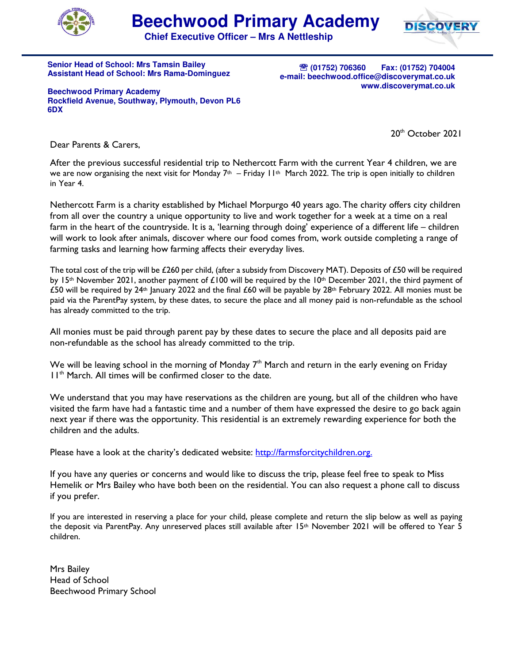



**Chief Executive Officer – Mrs A Nettleship**

**Senior Head of School: Mrs Tamsin Bailey Assistant Head of School: Mrs Rama-Dominguez** 

℡ **(01752) 706360 Fax: (01752) 704004 e-mail: beechwood.office@discoverymat.co.uk www.discoverymat.co.uk**

**Beechwood Primary Academy Rockfield Avenue, Southway, Plymouth, Devon PL6 6DX** 

20<sup>th</sup> October 2021

Dear Parents & Carers,

After the previous successful residential trip to Nethercott Farm with the current Year 4 children, we are we are now organising the next visit for Monday  $7<sup>th</sup>$  – Friday 11<sup>th</sup> March 2022. The trip is open initially to children in Year 4.

Nethercott Farm is a charity established by Michael Morpurgo 40 years ago. The charity offers city children from all over the country a unique opportunity to live and work together for a week at a time on a real farm in the heart of the countryside. It is a, 'learning through doing' experience of a different life – children will work to look after animals, discover where our food comes from, work outside completing a range of farming tasks and learning how farming affects their everyday lives.

The total cost of the trip will be £260 per child, (after a subsidy from Discovery MAT). Deposits of £50 will be required by 15<sup>th</sup> November 2021, another payment of £100 will be required by the 10<sup>th</sup> December 2021, the third payment of £50 will be required by 24<sup>th</sup> January 2022 and the final £60 will be payable by 28<sup>th</sup> February 2022. All monies must be paid via the ParentPay system, by these dates, to secure the place and all money paid is non-refundable as the school has already committed to the trip.

All monies must be paid through parent pay by these dates to secure the place and all deposits paid are non-refundable as the school has already committed to the trip.

We will be leaving school in the morning of Monday  $7<sup>th</sup>$  March and return in the early evening on Friday 11<sup>th</sup> March. All times will be confirmed closer to the date.

We understand that you may have reservations as the children are young, but all of the children who have visited the farm have had a fantastic time and a number of them have expressed the desire to go back again next year if there was the opportunity. This residential is an extremely rewarding experience for both the children and the adults.

Please have a look at the charity's dedicated website: http://farmsforcitychildren.org.

If you have any queries or concerns and would like to discuss the trip, please feel free to speak to Miss Hemelik or Mrs Bailey who have both been on the residential. You can also request a phone call to discuss if you prefer.

If you are interested in reserving a place for your child, please complete and return the slip below as well as paying the deposit via ParentPay. Any unreserved places still available after 15<sup>th</sup> November 2021 will be offered to Year 5 children.

Mrs Bailey Head of School Beechwood Primary School